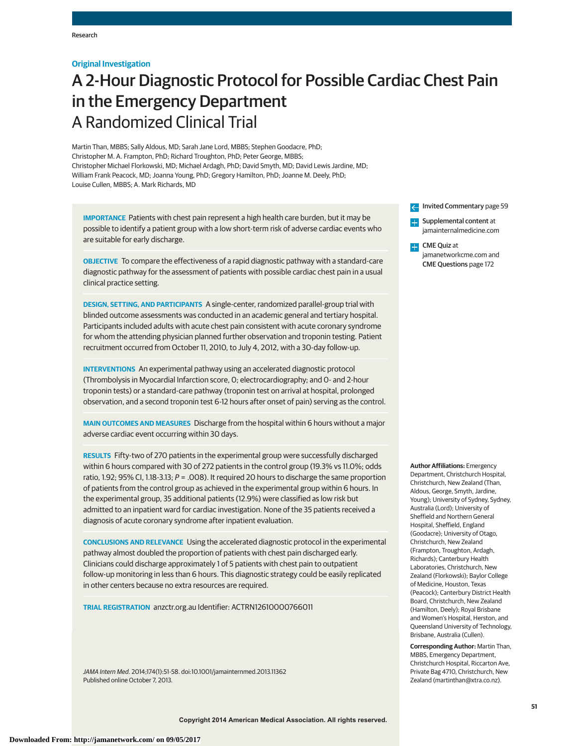# **Original Investigation**

# A 2-Hour Diagnostic Protocol for Possible Cardiac Chest Pain in the Emergency Department A Randomized Clinical Trial

Martin Than, MBBS; Sally Aldous, MD; Sarah Jane Lord, MBBS; Stephen Goodacre, PhD; Christopher M. A. Frampton, PhD; Richard Troughton, PhD; Peter George, MBBS; Christopher Michael Florkowski, MD; Michael Ardagh, PhD; David Smyth, MD; David Lewis Jardine, MD; William Frank Peacock, MD; Joanna Young, PhD; Gregory Hamilton, PhD; Joanne M. Deely, PhD; Louise Cullen, MBBS; A. Mark Richards, MD

**IMPORTANCE** Patients with chest pain represent a high health care burden, but it may be possible to identify a patient group with a low short-term risk of adverse cardiac events who are suitable for early discharge.

**OBJECTIVE** To compare the effectiveness of a rapid diagnostic pathway with a standard-care diagnostic pathway for the assessment of patients with possible cardiac chest pain in a usual clinical practice setting.

**DESIGN, SETTING, AND PARTICIPANTS** A single-center, randomized parallel-group trial with blinded outcome assessments was conducted in an academic general and tertiary hospital. Participants included adults with acute chest pain consistent with acute coronary syndrome for whom the attending physician planned further observation and troponin testing. Patient recruitment occurred from October 11, 2010, to July 4, 2012, with a 30-day follow-up.

**INTERVENTIONS** An experimental pathway using an accelerated diagnostic protocol (Thrombolysis in Myocardial Infarction score, 0; electrocardiography; and 0- and 2-hour troponin tests) or a standard-care pathway (troponin test on arrival at hospital, prolonged observation, and a second troponin test 6-12 hours after onset of pain) serving as the control.

**MAIN OUTCOMES AND MEASURES** Discharge from the hospital within 6 hours without a major adverse cardiac event occurring within 30 days.

**RESULTS** Fifty-two of 270 patients in the experimental group were successfully discharged within 6 hours compared with 30 of 272 patients in the control group (19.3% vs 11.0%; odds ratio, 1.92; 95% CI, 1.18-3.13;  $P = .008$ ). It required 20 hours to discharge the same proportion of patients from the control group as achieved in the experimental group within 6 hours. In the experimental group, 35 additional patients (12.9%) were classified as low risk but admitted to an inpatient ward for cardiac investigation. None of the 35 patients received a diagnosis of acute coronary syndrome after inpatient evaluation.

**CONCLUSIONS AND RELEVANCE** Using the accelerated diagnostic protocol in the experimental pathway almost doubled the proportion of patients with chest pain discharged early. Clinicians could discharge approximately 1 of 5 patients with chest pain to outpatient follow-up monitoring in less than 6 hours. This diagnostic strategy could be easily replicated in other centers because no extra resources are required.

**TRIAL REGISTRATION** anzctr.org.au Identifier: ACTRN12610000766011

JAMA Intern Med. 2014;174(1):51-58. doi:10.1001/jamainternmed.2013.11362 Published online October 7, 2013.

Invited Commentary page 59  $\leftarrow$ 

**Examplemental content at** jamainternalmedicine.com

CME Quiz at jamanetworkcme.com and CME Questions page 172

**Author Affiliations:** Emergency

Department, Christchurch Hospital, Christchurch, New Zealand (Than, Aldous, George, Smyth, Jardine, Young); University of Sydney, Sydney, Australia (Lord); University of Sheffield and Northern General Hospital, Sheffield, England (Goodacre); University of Otago, Christchurch, New Zealand (Frampton, Troughton, Ardagh, Richards); Canterbury Health Laboratories, Christchurch, New Zealand (Florkowski); Baylor College of Medicine, Houston, Texas (Peacock); Canterbury District Health Board, Christchurch, New Zealand (Hamilton, Deely); Royal Brisbane and Women's Hospital, Herston, and Queensland University of Technology, Brisbane, Australia (Cullen).

**Corresponding Author:** Martin Than, MBBS, Emergency Department, Christchurch Hospital, Riccarton Ave, Private Bag 4710, Christchurch, New Zealand (martinthan@xtra.co.nz).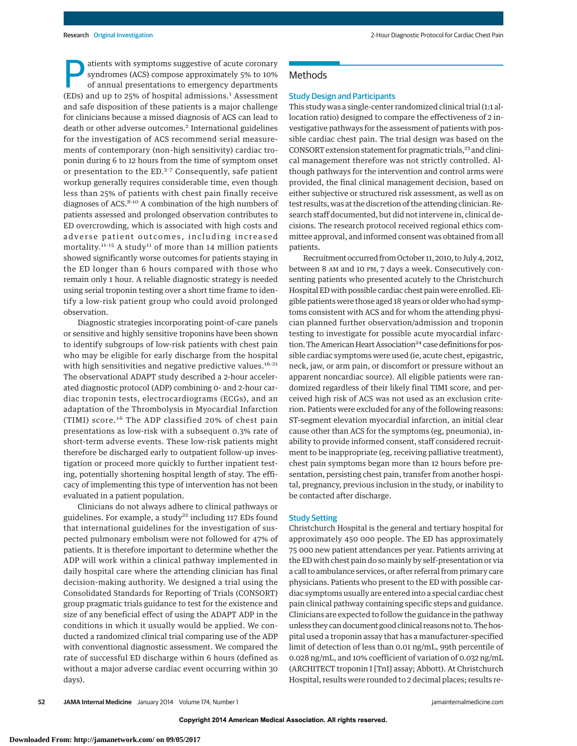atients with symptoms suggestive of acute coronary syndromes (ACS) compose approximately 5% to 10% of annual presentations to emergency departments (EDs) and up to 25% of hospital admissions.<sup>1</sup> Assessment and safe disposition of these patients is a major challenge for clinicians because a missed diagnosis of ACS can lead to death or other adverse outcomes.<sup>2</sup> International guidelines for the investigation of ACS recommend serial measurements of contemporary (non–high sensitivity) cardiac troponin during 6 to 12 hours from the time of symptom onset or presentation to the ED.<sup>3-7</sup> Consequently, safe patient workup generally requires considerable time, even though less than 25% of patients with chest pain finally receive diagnoses of ACS.<sup>8-10</sup> A combination of the high numbers of patients assessed and prolonged observation contributes to ED overcrowding, which is associated with high costs and adverse patient outcomes, including increased mortality.<sup>11-15</sup> A study<sup>11</sup> of more than 14 million patients showed significantly worse outcomes for patients staying in the ED longer than 6 hours compared with those who remain only 1 hour. A reliable diagnostic strategy is needed using serial troponin testing over a short time frame to identify a low-risk patient group who could avoid prolonged observation.

Diagnostic strategies incorporating point-of-care panels or sensitive and highly sensitive troponins have been shown to identify subgroups of low-risk patients with chest pain who may be eligible for early discharge from the hospital with high sensitivities and negative predictive values.<sup>16-21</sup> The observational ADAPT study described a 2-hour accelerated diagnostic protocol (ADP) combining 0- and 2-hour cardiac troponin tests, electrocardiograms (ECGs), and an adaptation of the Thrombolysis in Myocardial Infarction (TIMI) score.<sup>16</sup> The ADP classified 20% of chest pain presentations as low-risk with a subsequent 0.3% rate of short-term adverse events. These low-risk patients might therefore be discharged early to outpatient follow-up investigation or proceed more quickly to further inpatient testing, potentially shortening hospital length of stay. The efficacy of implementing this type of intervention has not been evaluated in a patient population.

Clinicians do not always adhere to clinical pathways or guidelines. For example, a study<sup>22</sup> including 117 EDs found that international guidelines for the investigation of suspected pulmonary embolism were not followed for 47% of patients. It is therefore important to determine whether the ADP will work within a clinical pathway implemented in daily hospital care where the attending clinician has final decision-making authority. We designed a trial using the Consolidated Standards for Reporting of Trials (CONSORT) group pragmatic trials guidance to test for the existence and size of any beneficial effect of using the ADAPT ADP in the conditions in which it usually would be applied. We conducted a randomized clinical trial comparing use of the ADP with conventional diagnostic assessment. We compared the rate of successful ED discharge within 6 hours (defined as without a major adverse cardiac event occurring within 30 days).

# **Methods**

#### Study Design and Participants

This study was a single-center randomized clinical trial (1:1 allocation ratio) designed to compare the effectiveness of 2 investigative pathways for the assessment of patients with possible cardiac chest pain. The trial design was based on the CONSORT extension statement for pragmatic trials,<sup>23</sup> and clinical management therefore was not strictly controlled. Although pathways for the intervention and control arms were provided, the final clinical management decision, based on either subjective or structured risk assessment, as well as on test results, was at the discretion of the attending clinician. Research staff documented, but did not intervene in, clinical decisions. The research protocol received regional ethics committee approval, and informed consent was obtained from all patients.

Recruitment occurred from October 11, 2010, to July 4, 2012, between 8 AM and 10 PM, 7 days a week. Consecutively consenting patients who presented acutely to the Christchurch Hospital ED with possible cardiac chest pain were enrolled. Eligible patients were those aged 18 years or older who had symptoms consistent with ACS and for whom the attending physician planned further observation/admission and troponin testing to investigate for possible acute myocardial infarction. The American Heart Association<sup>24</sup> case definitions for possible cardiac symptoms were used (ie, acute chest, epigastric, neck, jaw, or arm pain, or discomfort or pressure without an apparent noncardiac source). All eligible patients were randomized regardless of their likely final TIMI score, and perceived high risk of ACS was not used as an exclusion criterion. Patients were excluded for any of the following reasons: ST-segment elevation myocardial infarction, an initial clear cause other than ACS for the symptoms (eg, pneumonia), inability to provide informed consent, staff considered recruitment to be inappropriate (eg, receiving palliative treatment), chest pain symptoms began more than 12 hours before presentation, persisting chest pain, transfer from another hospital, pregnancy, previous inclusion in the study, or inability to be contacted after discharge.

# Study Setting

Christchurch Hospital is the general and tertiary hospital for approximately 450 000 people. The ED has approximately 75 000 new patient attendances per year. Patients arriving at the ED with chest pain do so mainly by self-presentation or via a call to ambulance services, or after referral from primary care physicians. Patients who present to the ED with possible cardiac symptoms usually are entered into a special cardiac chest pain clinical pathway containing specific steps and guidance. Clinicians are expected to follow the guidance in the pathway unless they can document good clinical reasons not to. The hospital used a troponin assay that has a manufacturer-specified limit of detection of less than 0.01 ng/mL, 99th percentile of 0.028 ng/mL, and 10% coefficient of variation of 0.032 ng/mL (ARCHITECT troponin I [TnI] assay; Abbott). At Christchurch Hospital, results were rounded to 2 decimal places; results re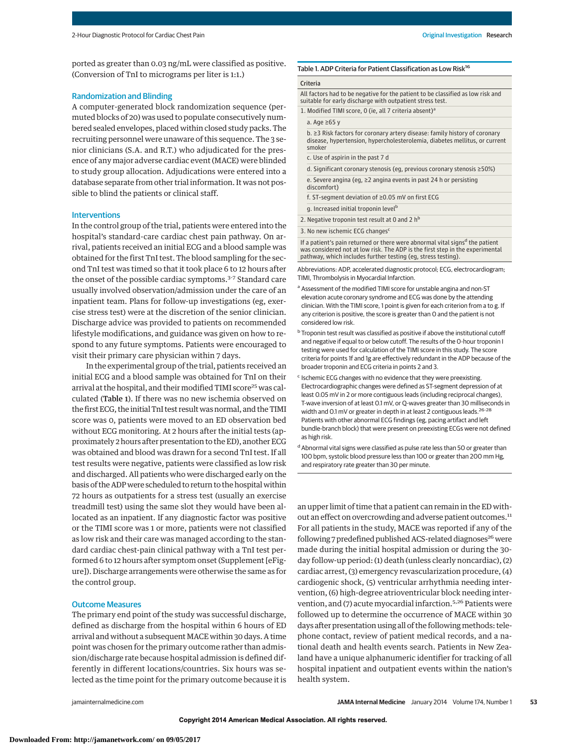ported as greater than 0.03 ng/mL were classified as positive. (Conversion of TnI to micrograms per liter is 1:1.)

# Randomization and Blinding

A computer-generated block randomization sequence (permuted blocks of 20) was used to populate consecutively numbered sealed envelopes, placed within closed study packs. The recruiting personnel were unaware of this sequence. The 3 senior clinicians (S.A. and R.T.) who adjudicated for the presence of any major adverse cardiac event (MACE) were blinded to study group allocation. Adjudications were entered into a database separate from other trial information. It was not possible to blind the patients or clinical staff.

### Interventions

In the control group of the trial, patients were entered into the hospital's standard-care cardiac chest pain pathway. On arrival, patients received an initial ECG and a blood sample was obtained for the first TnI test. The blood sampling for the second TnI test was timed so that it took place 6 to 12 hours after the onset of the possible cardiac symptoms.<sup>3-7</sup> Standard care usually involved observation/admission under the care of an inpatient team. Plans for follow-up investigations (eg, exercise stress test) were at the discretion of the senior clinician. Discharge advice was provided to patients on recommended lifestyle modifications, and guidance was given on how to respond to any future symptoms. Patients were encouraged to visit their primary care physician within 7 days.

In the experimental group of the trial, patients received an initial ECG and a blood sample was obtained for TnI on their arrival at the hospital, and their modified TIMI score<sup>25</sup> was calculated (Table 1). If there was no new ischemia observed on the first ECG, the initial TnI test result was normal, and the TIMI score was 0, patients were moved to an ED observation bed without ECG monitoring. At 2 hours after the initial tests (approximately 2 hours after presentation to the ED), another ECG was obtained and blood was drawn for a second TnI test. If all test results were negative, patients were classified as low risk and discharged. All patients who were discharged early on the basis of the ADP were scheduled to return to the hospital within 72 hours as outpatients for a stress test (usually an exercise treadmill test) using the same slot they would have been allocated as an inpatient. If any diagnostic factor was positive or the TIMI score was 1 or more, patients were not classified as low risk and their care was managed according to the standard cardiac chest-pain clinical pathway with a TnI test performed 6 to 12 hours after symptom onset (Supplement [eFigure]). Discharge arrangements were otherwise the same as for the control group.

# Outcome Measures

The primary end point of the study was successful discharge, defined as discharge from the hospital within 6 hours of ED arrival and without a subsequent MACE within 30 days. A time point was chosen for the primary outcome rather than admission/discharge rate because hospital admission is defined differently in different locations/countries. Six hours was selected as the time point for the primary outcome because it is

# Table 1. ADP Criteria for Patient Classification as Low Risk<sup>16</sup>

#### Criteria

All factors had to be negative for the patient to be classified as low risk and suitable for early discharge with outpatient stress test.

1. Modified TIMI score, 0 (ie, all 7 criteria absent)<sup>a</sup>

a. Age ≥65 y

- b. ≥3 Risk factors for coronary artery disease: family history of coronary disease, hypertension, hypercholesterolemia, diabetes mellitus, or current smoker
- c. Use of aspirin in the past 7 d
- d. Significant coronary stenosis (eg, previous coronary stenosis ≥50%)
- e. Severe angina (eg, ≥2 angina events in past 24 h or persisting
- discomfort)
- f. ST-segment deviation of ≥0.05 mV on first ECG
- g. Increased initial troponin level<sup>b</sup>
- 2. Negative troponin test result at 0 and 2  $h^b$
- 3. No new ischemic ECG changes<sup>c</sup>

If a patient's pain returned or there were abnormal vital signs<sup>d</sup> the patient was considered not at low risk. The ADP is the first step in the experimental pathway, which includes further testing (eg, stress testing).

Abbreviations: ADP, accelerated diagnostic protocol; ECG, electrocardiogram; TIMI, Thrombolysis in Myocardial Infarction.

- a Assessment of the modified TIMI score for unstable angina and non-ST elevation acute coronary syndrome and ECG was done by the attending clinician. With the TIMI score, 1 point is given for each criterion from a to g. If any criterion is positive, the score is greater than 0 and the patient is not considered low risk.
- <sup>b</sup> Troponin test result was classified as positive if above the institutional cutoff and negative if equal to or below cutoff. The results of the 0-hour troponin I testing were used for calculation of the TIMI score in this study. The score criteria for points 1f and 1g are effectively redundant in the ADP because of the broader troponin and ECG criteria in points 2 and 3.
- <sup>c</sup> Ischemic ECG changes with no evidence that they were preexisting. Electrocardiographic changes were defined as ST-segment depression of at least 0.05 mV in 2 or more contiguous leads (including reciprocal changes), T-wave inversion of at least 0.1 mV, or Q-waves greater than 30 milliseconds in width and 0.1 mV or greater in depth in at least 2 contiguous leads.  $26-28$ Patients with other abnormal ECG findings (eg, pacing artifact and left bundle-branch block) that were present on preexisting ECGs were not defined as high risk.
- d Abnormal vital signs were classified as pulse rate less than 50 or greater than 100 bpm, systolic blood pressure less than 100 or greater than 200 mm Hg, and respiratory rate greater than 30 per minute.

an upper limit of time that a patient can remain in the ED without an effect on overcrowding and adverse patient outcomes.<sup>11</sup> For all patients in the study, MACE was reported if any of the following 7 predefined published ACS-related diagnoses<sup>26</sup> were made during the initial hospital admission or during the 30 day follow-up period: (1) death (unless clearly noncardiac), (2) cardiac arrest, (3) emergency revascularization procedure, (4) cardiogenic shock, (5) ventricular arrhythmia needing intervention, (6) high-degree atrioventricular block needing intervention, and (7) acute myocardial infarction.<sup>5,26</sup> Patients were followed up to determine the occurrence of MACE within 30 days after presentation using all of the following methods: telephone contact, review of patient medical records, and a national death and health events search. Patients in New Zealand have a unique alphanumeric identifier for tracking of all hospital inpatient and outpatient events within the nation's health system.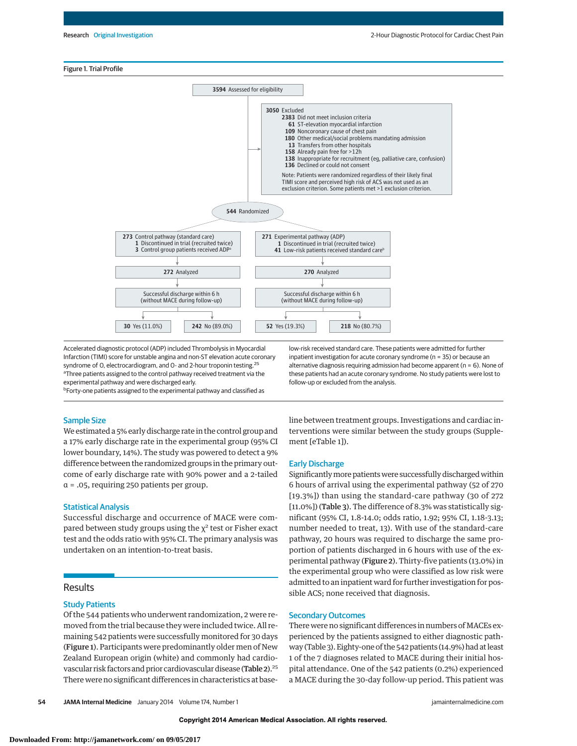### Figure 1. Trial Profile



Accelerated diagnostic protocol (ADP) included Thrombolysis in Myocardial Infarction (TIMI) score for unstable angina and non-ST elevation acute coronary syndrome of O, electrocardiogram, and O- and 2-hour troponin testing.<sup>25</sup> <sup>a</sup>Three patients assigned to the control pathway received treatment via the experimental pathway and were discharged early. **bForty-one patients assigned to the experimental pathway and classified as** 

low-risk received standard care. These patients were admitted for further inpatient investigation for acute coronary syndrome (n = 35) or because an alternative diagnosis requiring admission had become apparent ( $n = 6$ ). None of these patients had an acute coronary syndrome. No study patients were lost to follow-up or excluded from the analysis.

Sample Size

We estimated a 5% early discharge rate in the control group and a 17% early discharge rate in the experimental group (95% CI lower boundary, 14%). The study was powered to detect a 9% difference between the randomized groups in the primary outcome of early discharge rate with 90% power and a 2-tailed

α = .05, requiring 250 patients per group.

# Statistical Analysis

Successful discharge and occurrence of MACE were compared between study groups using the  $\chi^2$  test or Fisher exact test and the odds ratio with 95% CI. The primary analysis was undertaken on an intention-to-treat basis.

# Results

# Study Patients

Of the 544 patients who underwent randomization, 2 were removed from the trial because they were included twice. All remaining 542 patients were successfully monitored for 30 days (Figure 1). Participants were predominantly older men of New Zealand European origin (white) and commonly had cardiovascular risk factors and prior cardiovascular disease (Table 2).<sup>25</sup> There were no significant differences in characteristics at baseline between treatment groups. Investigations and cardiac interventions were similar between the study groups (Supplement [eTable 1]).

# Early Discharge

Significantly more patients were successfully discharged within 6 hours of arrival using the experimental pathway (52 of 270 [19.3%]) than using the standard-care pathway (30 of 272 [11.0%]) (Table 3). The difference of 8.3% was statistically significant (95% CI, 1.8-14.0; odds ratio, 1.92; 95% CI, 1.18-3.13; number needed to treat, 13). With use of the standard-care pathway, 20 hours was required to discharge the same proportion of patients discharged in 6 hours with use of the experimental pathway (Figure 2). Thirty-five patients (13.0%) in the experimental group who were classified as low risk were admitted to an inpatient ward for further investigation for possible ACS; none received that diagnosis.

# Secondary Outcomes

There were no significant differences in numbers of MACEs experienced by the patients assigned to either diagnostic pathway (Table 3). Eighty-one of the 542 patients (14.9%) had at least 1 of the 7 diagnoses related to MACE during their initial hospital attendance. One of the 542 patients (0.2%) experienced a MACE during the 30-day follow-up period. This patient was

**54 JAMA Internal Medicine** January 2014 Volume 174, Number 1 jamainternalmedicine.com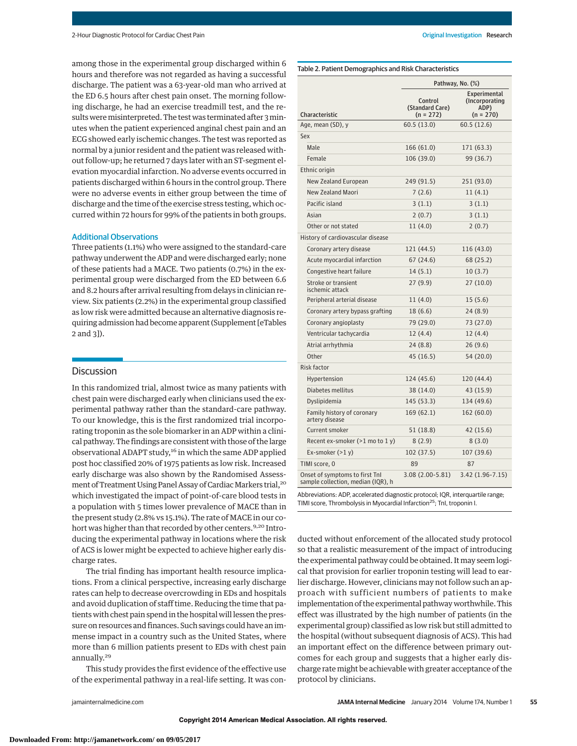among those in the experimental group discharged within 6 hours and therefore was not regarded as having a successful discharge. The patient was a 63-year-old man who arrived at the ED 6.5 hours after chest pain onset. The morning following discharge, he had an exercise treadmill test, and the results were misinterpreted. The test was terminated after 3 minutes when the patient experienced anginal chest pain and an ECG showed early ischemic changes. The test was reported as normal by a junior resident and the patient was released without follow-up; he returned 7 days later with an ST-segment elevation myocardial infarction. No adverse events occurred in patients discharged within 6 hours in the control group. There were no adverse events in either group between the time of discharge and the time of the exercise stress testing, which occurred within 72 hours for 99% of the patients in both groups.

### Additional Observations

Three patients (1.1%) who were assigned to the standard-care pathway underwent the ADP and were discharged early; none of these patients had a MACE. Two patients (0.7%) in the experimental group were discharged from the ED between 6.6 and 8.2 hours after arrival resulting from delays in clinician review. Six patients (2.2%) in the experimental group classified as low risk were admitted because an alternative diagnosis requiring admission had become apparent (Supplement [eTables 2 and 3]).

# **Discussion**

In this randomized trial, almost twice as many patients with chest pain were discharged early when clinicians used the experimental pathway rather than the standard-care pathway. To our knowledge, this is the first randomized trial incorporating troponin as the sole biomarker in an ADP within a clinical pathway. The findings are consistent with those of the large observational ADAPT study,<sup>16</sup> in which the same ADP applied post hoc classified 20% of 1975 patients as low risk. Increased early discharge was also shown by the Randomised Assessment of Treatment Using Panel Assay of Cardiac Markers trial,<sup>20</sup> which investigated the impact of point-of-care blood tests in a population with 5 times lower prevalence of MACE than in the present study (2.8% vs 15.1%). The rate of MACE in our cohort was higher than that recorded by other centers.<sup>9,20</sup> Introducing the experimental pathway in locations where the risk of ACS is lower might be expected to achieve higher early discharge rates.

The trial finding has important health resource implications. From a clinical perspective, increasing early discharge rates can help to decrease overcrowding in EDs and hospitals and avoid duplication of staff time. Reducing the time that patients with chest pain spend in the hospital will lessen the pressure on resources and finances. Such savings could have an immense impact in a country such as the United States, where more than 6 million patients present to EDs with chest pain annually.<sup>29</sup>

This study provides the first evidence of the effective use of the experimental pathway in a real-life setting. It was con-

# Table 2. Patient Demographics and Risk Characteristics

| Experimental<br>Control<br>(Incorporating)<br>(Standard Care)<br>ADP)<br>Characteristic<br>$(n = 272)$<br>$(n = 270)$<br>60.5(13.0)<br>60.5 (12.6)<br>Age, mean (SD), y<br>Sex<br>Male<br>166(61.0)<br>171 (63.3)<br>Female<br>106 (39.0)<br>99 (36.7)<br>Ethnic origin<br>New Zealand European<br>249 (91.5)<br>251 (93.0)<br><b>New Zealand Maori</b><br>7(2.6)<br>11(4.1)<br>Pacific island<br>3(1.1)<br>3(1.1)<br>Asian<br>2(0.7)<br>3(1.1)<br>Other or not stated<br>11(4.0)<br>2(0.7)<br>History of cardiovascular disease<br>121 (44.5)<br>116 (43.0)<br>Coronary artery disease<br>Acute myocardial infarction<br>67(24.6)<br>68 (25.2)<br>Congestive heart failure<br>14(5.1)<br>10(3.7)<br>27(9.9)<br>27(10.0)<br>Stroke or transient<br>ischemic attack<br>Peripheral arterial disease<br>11(4.0)<br>15(5.6)<br>Coronary artery bypass grafting<br>18(6.6)<br>24(8.9)<br>Coronary angioplasty<br>79 (29.0)<br>73 (27.0)<br>Ventricular tachycardia<br>12(4.4)<br>12(4.4)<br>Atrial arrhythmia<br>24(8.8)<br>26(9.6)<br>Other<br>45 (16.5)<br>54 (20.0)<br><b>Risk factor</b><br>124 (45.6)<br>120 (44.4)<br>Hypertension<br>Diabetes mellitus |
|----------------------------------------------------------------------------------------------------------------------------------------------------------------------------------------------------------------------------------------------------------------------------------------------------------------------------------------------------------------------------------------------------------------------------------------------------------------------------------------------------------------------------------------------------------------------------------------------------------------------------------------------------------------------------------------------------------------------------------------------------------------------------------------------------------------------------------------------------------------------------------------------------------------------------------------------------------------------------------------------------------------------------------------------------------------------------------------------------------------------------------------------------------|
|                                                                                                                                                                                                                                                                                                                                                                                                                                                                                                                                                                                                                                                                                                                                                                                                                                                                                                                                                                                                                                                                                                                                                          |
|                                                                                                                                                                                                                                                                                                                                                                                                                                                                                                                                                                                                                                                                                                                                                                                                                                                                                                                                                                                                                                                                                                                                                          |
|                                                                                                                                                                                                                                                                                                                                                                                                                                                                                                                                                                                                                                                                                                                                                                                                                                                                                                                                                                                                                                                                                                                                                          |
|                                                                                                                                                                                                                                                                                                                                                                                                                                                                                                                                                                                                                                                                                                                                                                                                                                                                                                                                                                                                                                                                                                                                                          |
|                                                                                                                                                                                                                                                                                                                                                                                                                                                                                                                                                                                                                                                                                                                                                                                                                                                                                                                                                                                                                                                                                                                                                          |
|                                                                                                                                                                                                                                                                                                                                                                                                                                                                                                                                                                                                                                                                                                                                                                                                                                                                                                                                                                                                                                                                                                                                                          |
|                                                                                                                                                                                                                                                                                                                                                                                                                                                                                                                                                                                                                                                                                                                                                                                                                                                                                                                                                                                                                                                                                                                                                          |
|                                                                                                                                                                                                                                                                                                                                                                                                                                                                                                                                                                                                                                                                                                                                                                                                                                                                                                                                                                                                                                                                                                                                                          |
|                                                                                                                                                                                                                                                                                                                                                                                                                                                                                                                                                                                                                                                                                                                                                                                                                                                                                                                                                                                                                                                                                                                                                          |
|                                                                                                                                                                                                                                                                                                                                                                                                                                                                                                                                                                                                                                                                                                                                                                                                                                                                                                                                                                                                                                                                                                                                                          |
|                                                                                                                                                                                                                                                                                                                                                                                                                                                                                                                                                                                                                                                                                                                                                                                                                                                                                                                                                                                                                                                                                                                                                          |
|                                                                                                                                                                                                                                                                                                                                                                                                                                                                                                                                                                                                                                                                                                                                                                                                                                                                                                                                                                                                                                                                                                                                                          |
|                                                                                                                                                                                                                                                                                                                                                                                                                                                                                                                                                                                                                                                                                                                                                                                                                                                                                                                                                                                                                                                                                                                                                          |
|                                                                                                                                                                                                                                                                                                                                                                                                                                                                                                                                                                                                                                                                                                                                                                                                                                                                                                                                                                                                                                                                                                                                                          |
|                                                                                                                                                                                                                                                                                                                                                                                                                                                                                                                                                                                                                                                                                                                                                                                                                                                                                                                                                                                                                                                                                                                                                          |
|                                                                                                                                                                                                                                                                                                                                                                                                                                                                                                                                                                                                                                                                                                                                                                                                                                                                                                                                                                                                                                                                                                                                                          |
|                                                                                                                                                                                                                                                                                                                                                                                                                                                                                                                                                                                                                                                                                                                                                                                                                                                                                                                                                                                                                                                                                                                                                          |
|                                                                                                                                                                                                                                                                                                                                                                                                                                                                                                                                                                                                                                                                                                                                                                                                                                                                                                                                                                                                                                                                                                                                                          |
|                                                                                                                                                                                                                                                                                                                                                                                                                                                                                                                                                                                                                                                                                                                                                                                                                                                                                                                                                                                                                                                                                                                                                          |
|                                                                                                                                                                                                                                                                                                                                                                                                                                                                                                                                                                                                                                                                                                                                                                                                                                                                                                                                                                                                                                                                                                                                                          |
|                                                                                                                                                                                                                                                                                                                                                                                                                                                                                                                                                                                                                                                                                                                                                                                                                                                                                                                                                                                                                                                                                                                                                          |
|                                                                                                                                                                                                                                                                                                                                                                                                                                                                                                                                                                                                                                                                                                                                                                                                                                                                                                                                                                                                                                                                                                                                                          |
|                                                                                                                                                                                                                                                                                                                                                                                                                                                                                                                                                                                                                                                                                                                                                                                                                                                                                                                                                                                                                                                                                                                                                          |
|                                                                                                                                                                                                                                                                                                                                                                                                                                                                                                                                                                                                                                                                                                                                                                                                                                                                                                                                                                                                                                                                                                                                                          |
| 38 (14.0)<br>43 (15.9)                                                                                                                                                                                                                                                                                                                                                                                                                                                                                                                                                                                                                                                                                                                                                                                                                                                                                                                                                                                                                                                                                                                                   |
| Dyslipidemia<br>145 (53.3)<br>134 (49.6)                                                                                                                                                                                                                                                                                                                                                                                                                                                                                                                                                                                                                                                                                                                                                                                                                                                                                                                                                                                                                                                                                                                 |
| 169 (62.1)<br>Family history of coronary<br>162 (60.0)<br>artery disease                                                                                                                                                                                                                                                                                                                                                                                                                                                                                                                                                                                                                                                                                                                                                                                                                                                                                                                                                                                                                                                                                 |
| Current smoker<br>51 (18.8)<br>42 (15.6)                                                                                                                                                                                                                                                                                                                                                                                                                                                                                                                                                                                                                                                                                                                                                                                                                                                                                                                                                                                                                                                                                                                 |
| 8(2.9)<br>8(3.0)<br>Recent ex-smoker $(>1 \text{ mo to } 1 \text{ y})$                                                                                                                                                                                                                                                                                                                                                                                                                                                                                                                                                                                                                                                                                                                                                                                                                                                                                                                                                                                                                                                                                   |
| Ex-smoker $(21 y)$<br>102 (37.5)<br>107 (39.6)                                                                                                                                                                                                                                                                                                                                                                                                                                                                                                                                                                                                                                                                                                                                                                                                                                                                                                                                                                                                                                                                                                           |
| 89<br>87<br>TIMI score, 0                                                                                                                                                                                                                                                                                                                                                                                                                                                                                                                                                                                                                                                                                                                                                                                                                                                                                                                                                                                                                                                                                                                                |
| Onset of symptoms to first Tnl<br>$3.08(2.00-5.81)$<br>3.42 (1.96-7.15)<br>sample collection, median (IQR), h                                                                                                                                                                                                                                                                                                                                                                                                                                                                                                                                                                                                                                                                                                                                                                                                                                                                                                                                                                                                                                            |

Abbreviations: ADP, accelerated diagnostic protocol; IQR, interquartile range; TIMI score, Thrombolysis in Myocardial Infarction<sup>25</sup>; TnI, troponin I.

ducted without enforcement of the allocated study protocol so that a realistic measurement of the impact of introducing the experimental pathway could be obtained. Itmay seem logical that provision for earlier troponin testing will lead to earlier discharge. However, clinicians may not follow such an approach with sufficient numbers of patients to make implementation of the experimental pathway worthwhile. This effect was illustrated by the high number of patients (in the experimental group) classified as low risk but still admitted to the hospital (without subsequent diagnosis of ACS). This had an important effect on the difference between primary outcomes for each group and suggests that a higher early discharge rate might be achievable with greater acceptance of the protocol by clinicians.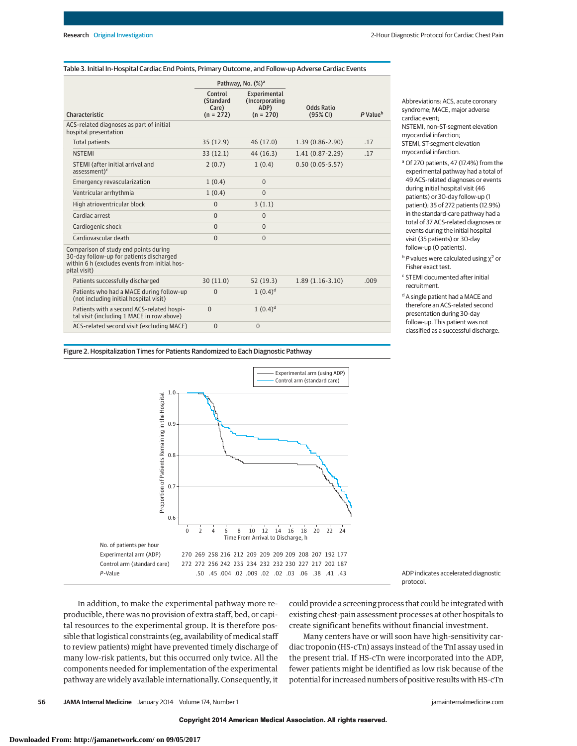#### Table 3. Initial In-Hospital Cardiac End Points, Primary Outcome, and Follow-up Adverse Cardiac Events

|                                                                                                                                                    | Pathway, No. (%) <sup>a</sup>                |                                                       |                               |                      |
|----------------------------------------------------------------------------------------------------------------------------------------------------|----------------------------------------------|-------------------------------------------------------|-------------------------------|----------------------|
| Characteristic                                                                                                                                     | Control<br>(Standard<br>Care)<br>$(n = 272)$ | Experimental<br>(Incorporating<br>ADP)<br>$(n = 270)$ | <b>Odds Ratio</b><br>(95% CI) | P Value <sup>b</sup> |
| ACS-related diagnoses as part of initial<br>hospital presentation                                                                                  |                                              |                                                       |                               |                      |
| <b>Total patients</b>                                                                                                                              | 35(12.9)                                     | 46 (17.0)                                             | $1.39(0.86 - 2.90)$           | .17                  |
| <b>NSTEMI</b>                                                                                                                                      | 33(12.1)                                     | 44 (16.3)                                             | $1.41(0.87 - 2.29)$           | .17                  |
| STEMI (after initial arrival and<br>$assessment)^c$                                                                                                | 2(0.7)                                       | 1(0.4)                                                | $0.50(0.05-5.57)$             |                      |
| Emergency revascularization                                                                                                                        | 1(0.4)                                       | $\Omega$                                              |                               |                      |
| Ventricular arrhythmia                                                                                                                             | 1(0.4)                                       | $\overline{0}$                                        |                               |                      |
| High atrioventricular block                                                                                                                        | $\Omega$                                     | 3(1.1)                                                |                               |                      |
| Cardiac arrest                                                                                                                                     | $\Omega$                                     | $\Omega$                                              |                               |                      |
| Cardiogenic shock                                                                                                                                  | $\Omega$                                     | $\Omega$                                              |                               |                      |
| Cardiovascular death                                                                                                                               | $\Omega$                                     | $\Omega$                                              |                               |                      |
| Comparison of study end points during<br>30-day follow-up for patients discharged<br>within 6 h (excludes events from initial hos-<br>pital visit) |                                              |                                                       |                               |                      |
| Patients successfully discharged                                                                                                                   | 30(11.0)                                     | 52(19.3)                                              | $1.89(1.16-3.10)$             | .009                 |
| Patients who had a MACE during follow-up<br>(not including initial hospital visit)                                                                 | $\Omega$                                     | $1(0.4)^d$                                            |                               |                      |
| Patients with a second ACS-related hospi-<br>tal visit (including 1 MACE in row above)                                                             | $\Omega$                                     | $1(0.4)^d$                                            |                               |                      |
| ACS-related second visit (excluding MACE)                                                                                                          | $\overline{0}$                               | $\Omega$                                              |                               |                      |

Abbreviations: ACS, acute coronary syndrome; MACE, major adverse cardiac event;

NSTEMI, non–ST-segment elevation myocardial infarction; STEMI, ST-segment elevation

myocardial infarction.

<sup>a</sup> Of 270 patients, 47 (17.4%) from the experimental pathway had a total of 49 ACS-related diagnoses or events during initial hospital visit (46 patients) or 30-day follow-up (1 patient); 35 of 272 patients (12.9%) in the standard-care pathway had a total of 37 ACS-related diagnoses or events during the initial hospital visit (35 patients) or 30-day follow-up (0 patients).

 $b$  P values were calculated using  $\chi^2$  or Fisher exact test.

- <sup>c</sup> STEMI documented after initial recruitment.
- <sup>d</sup> A single patient had a MACE and therefore an ACS-related second presentation during 30-day follow-up. This patient was not classified as a successful discharge.

Figure 2. Hospitalization Times for Patients Randomized to Each Diagnostic Pathway



ADP indicates accelerated diagnostic protocol.

In addition, to make the experimental pathway more reproducible, there was no provision of extra staff, bed, or capital resources to the experimental group. It is therefore possible that logistical constraints (eg, availability of medical staff to review patients) might have prevented timely discharge of many low-risk patients, but this occurred only twice. All the components needed for implementation of the experimental pathway are widely available internationally. Consequently, it could provide a screening process that could be integrated with existing chest-pain assessment processes at other hospitals to create significant benefits without financial investment.

Many centers have or will soon have high-sensitivity cardiac troponin (HS-cTn) assays instead of the TnI assay used in the present trial. If HS-cTn were incorporated into the ADP, fewer patients might be identified as low risk because of the potential for increased numbers of positive results with HS-cTn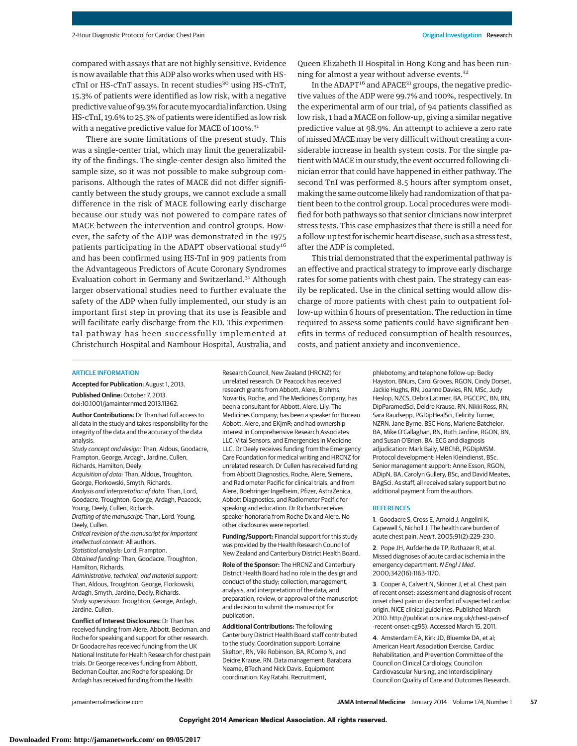compared with assays that are not highly sensitive. Evidence is now available that this ADP also works when used with HScTnI or HS-cTnT assays. In recent studies<sup>30</sup> using HS-cTnT, 15.3% of patients were identified as low risk, with a negative predictive value of 99.3% for acutemyocardial infarction. Using HS-cTnI, 19.6% to 25.3% of patients were identified as low risk with a negative predictive value for MACE of 100%.<sup>31</sup>

There are some limitations of the present study. This was a single-center trial, which may limit the generalizability of the findings. The single-center design also limited the sample size, so it was not possible to make subgroup comparisons. Although the rates of MACE did not differ significantly between the study groups, we cannot exclude a small difference in the risk of MACE following early discharge because our study was not powered to compare rates of MACE between the intervention and control groups. However, the safety of the ADP was demonstrated in the 1975 patients participating in the ADAPT observational study<sup>16</sup> and has been confirmed using HS-TnI in 909 patients from the Advantageous Predictors of Acute Coronary Syndromes Evaluation cohort in Germany and Switzerland.<sup>31</sup> Although larger observational studies need to further evaluate the safety of the ADP when fully implemented, our study is an important first step in proving that its use is feasible and will facilitate early discharge from the ED. This experimental pathway has been successfully implemented at Christchurch Hospital and Nambour Hospital, Australia, and

Queen Elizabeth II Hospital in Hong Kong and has been running for almost a year without adverse events.32

In the ADAPT $16$  and APACE<sup>31</sup> groups, the negative predictive values of the ADP were 99.7% and 100%, respectively. In the experimental arm of our trial, of 94 patients classified as low risk, 1 had a MACE on follow-up, giving a similar negative predictive value at 98.9%. An attempt to achieve a zero rate of missed MACE may be very difficult without creating a considerable increase in health system costs. For the single patient with MACE in our study, the event occurred following clinician error that could have happened in either pathway. The second TnI was performed 8.5 hours after symptom onset, making the same outcome likely had randomization of that patient been to the control group. Local procedures were modified for both pathways so that senior clinicians now interpret stress tests. This case emphasizes that there is still a need for a follow-up test for ischemic heart disease, such as a stress test, after the ADP is completed.

This trial demonstrated that the experimental pathway is an effective and practical strategy to improve early discharge rates for some patients with chest pain. The strategy can easily be replicated. Use in the clinical setting would allow discharge of more patients with chest pain to outpatient follow-up within 6 hours of presentation. The reduction in time required to assess some patients could have significant benefits in terms of reduced consumption of health resources, costs, and patient anxiety and inconvenience.

#### ARTICLE INFORMATION

**Accepted for Publication:** August 1, 2013.

**Published Online:** October 7, 2013. doi:10.1001/jamainternmed.2013.11362.

**Author Contributions:** Dr Than had full access to all data in the study and takes responsibility for the integrity of the data and the accuracy of the data analysis.

Study concept and design: Than, Aldous, Goodacre, Frampton, George, Ardagh, Jardine, Cullen, Richards, Hamilton, Deely.

Acquisition of data: Than, Aldous, Troughton, George, Florkowski, Smyth, Richards. Analysis and interpretation of data: Than, Lord,

Goodacre, Troughton, George, Ardagh, Peacock, Young, Deely, Cullen, Richards.

Drafting of the manuscript: Than, Lord, Young, Deely, Cullen.

Critical revision of the manuscript for important intellectual content: All authors.

Statistical analysis: Lord, Frampton.

Obtained funding: Than, Goodacre, Troughton, Hamilton, Richards.

Administrative, technical, and material support: Than, Aldous, Troughton, George, Florkowski, Ardagh, Smyth, Jardine, Deely, Richards. Study supervision: Troughton, George, Ardagh, Jardine, Cullen.

**Conflict of Interest Disclosures:** Dr Than has received funding from Alere, Abbott, Beckman, and Roche for speaking and support for other research. Dr Goodacre has received funding from the UK National Institute for Health Research for chest pain trials. Dr George receives funding from Abbott, Beckman Coulter, and Roche for speaking. Dr Ardagh has received funding from the Health

Research Council, New Zealand (HRCNZ) for unrelated research. Dr Peacock has received research grants from Abbott, Alere, Brahms, Novartis, Roche, and The Medicines Company; has been a consultant for Abbott, Alere, Lily, The Medicines Company; has been a speaker for Bureau Abbott, Alere, and EKjmR; and had ownership interest in Comprehensive Research Associates LLC, Vital Sensors, and Emergencies in Medicine LLC. Dr Deely receives funding from the Emergency Care Foundation for medical writing and HRCNZ for unrelated research. Dr Cullen has received funding from Abbott Diagnostics, Roche, Alere, Siemens, and Radiometer Pacific for clinical trials, and from Alere, Boehringer Ingelheim, Pfizer, AstraZenica, Abbott Diagnostics, and Radiometer Pacific for speaking and education. Dr Richards receives speaker honoraria from Roche Dx and Alere. No other disclosures were reported.

**Funding/Support:** Financial support for this study was provided by the Health Research Council of New Zealand and Canterbury District Health Board.

**Role of the Sponsor:** The HRCNZ and Canterbury District Health Board had no role in the design and conduct of the study; collection, management, analysis, and interpretation of the data; and preparation, review, or approval of the manuscript; and decision to submit the manuscript for publication.

**Additional Contributions:** The following Canterbury District Health Board staff contributed to the study. Coordination support: Lorraine Skelton, RN, Viki Robinson, BA, RComp N, and Deidre Krause, RN. Data management: Barabara Neame, BTech and Nick Davis, Equipment coordination: Kay Ratahi. Recruitment,

phlebotomy, and telephone follow-up: Becky Hayston, BNurs, Carol Groves, RGON, Cindy Dorset, Jackie Hughs, RN, Joanne Davies, RN, MSc, Judy Heslop, NZCS, Debra Latimer, BA, PGCCPC, BN, RN, DipParamedSci, Deidre Krause, RN, Nikki Ross, RN, Sara Raudsepp, PGDipHealSci, Felicity Turner, NZRN, Jane Byrne, BSC Hons, Marlene Batchelor, BA, Mike O'Callaghan, RN, Ruth Jardine, RGON, BN, and Susan O'Brien, BA. ECG and diagnosis adjudication: Mark Baily, MBChB, PGDipMSM. Protocol development: Helen Kleindienst, BSc. Senior management support: Anne Esson, RGON, ADipN, BA, Carolyn Gullery, BSc, and David Meates, BAgSci. As staff, all received salary support but no additional payment from the authors.

#### **REFERENCES**

**1**. Goodacre S, Cross E, Arnold J, Angelini K, Capewell S, Nicholl J. The health care burden of acute chest pain. Heart. 2005;91(2):229-230.

**2**. Pope JH, Aufderheide TP, Ruthazer R, et al. Missed diagnoses of acute cardiac ischemia in the emergency department. N Engl J Med. 2000;342(16):1163-1170.

**3**. Cooper A, Calvert N, Skinner J, et al. Chest pain of recent onset: assessment and diagnosis of recent onset chest pain or discomfort of suspected cardiac origin. NICE clinical guidelines. Published March 2010. http://publications.nice.org.uk/chest-pain-of -recent-onset-cg95). Accessed March 15, 2011.

**4**. Amsterdam EA, Kirk JD, Bluemke DA, et al; American Heart Association Exercise, Cardiac Rehabilitation, and Prevention Committee of the Council on Clinical Cardiology, Council on Cardiovascular Nursing, and Interdisciplinary Council on Quality of Care and Outcomes Research.